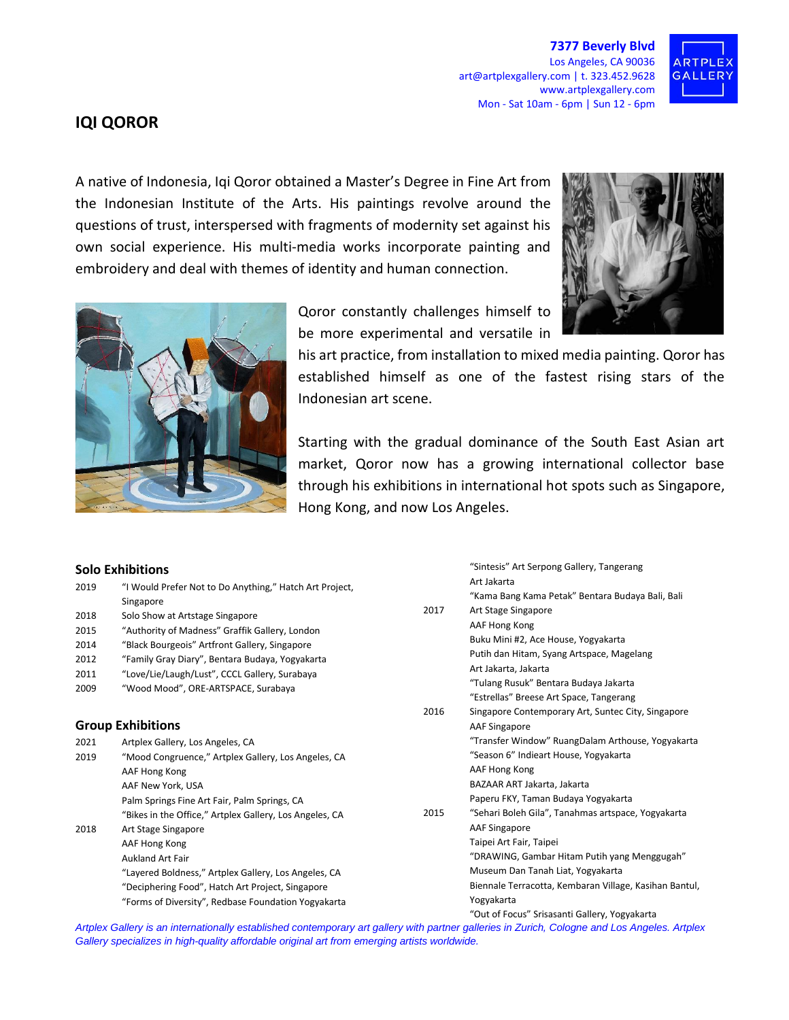**7377 Beverly Blvd** Los Angeles, CA 90036 art@artplexgallery.com | t. 323.452.9628 www.artplexgallery.com Mon - Sat 10am - 6pm | Sun 12 - 6pm



## **IQI QOROR**

A native of Indonesia, Iqi Qoror obtained a Master's Degree in Fine Art from the Indonesian Institute of the Arts. His paintings revolve around the questions of trust, interspersed with fragments of modernity set against his own social experience. His multi-media works incorporate painting and embroidery and deal with themes of identity and human connection.





Qoror constantly challenges himself to be more experimental and versatile in

his art practice, from installation to mixed media painting. Qoror has established himself as one of the fastest rising stars of the Indonesian art scene.

Starting with the gradual dominance of the South East Asian art market, Qoror now has a growing international collector base through his exhibitions in international hot spots such as Singapore, Hong Kong, and now Los Angeles.

"Sintesis" Art Serpong Gallery, Tangerang

## **Solo Exhibitions**

| 2019                     | "I Would Prefer Not to Do Anything," Hatch Art Project,                                                                                 |      | Art Jakarta                                            |
|--------------------------|-----------------------------------------------------------------------------------------------------------------------------------------|------|--------------------------------------------------------|
|                          | Singapore                                                                                                                               | 2017 | "Kama Bang Kama Petak" Bentara Budaya Bali, Bali       |
| 2018                     | Solo Show at Artstage Singapore                                                                                                         |      | Art Stage Singapore                                    |
| 2015                     | "Authority of Madness" Graffik Gallery, London                                                                                          |      | AAF Hong Kong                                          |
| 2014                     | "Black Bourgeois" Artfront Gallery, Singapore                                                                                           |      | Buku Mini #2, Ace House, Yogyakarta                    |
| 2012                     | "Family Gray Diary", Bentara Budaya, Yogyakarta                                                                                         |      | Putih dan Hitam, Syang Artspace, Magelang              |
| 2011                     | "Love/Lie/Laugh/Lust", CCCL Gallery, Surabaya                                                                                           |      | Art Jakarta, Jakarta                                   |
| 2009                     | "Wood Mood", ORE-ARTSPACE, Surabaya                                                                                                     | 2016 | "Tulang Rusuk" Bentara Budaya Jakarta                  |
|                          |                                                                                                                                         |      | "Estrellas" Breese Art Space, Tangerang                |
|                          |                                                                                                                                         |      | Singapore Contemporary Art, Suntec City, Singapore     |
| <b>Group Exhibitions</b> |                                                                                                                                         |      | <b>AAF Singapore</b>                                   |
| 2021                     | Artplex Gallery, Los Angeles, CA                                                                                                        |      | "Transfer Window" RuangDalam Arthouse, Yogyakarta      |
| 2019                     | "Mood Congruence," Artplex Gallery, Los Angeles, CA                                                                                     |      | "Season 6" Indieart House, Yogyakarta                  |
|                          | AAF Hong Kong                                                                                                                           |      | AAF Hong Kong                                          |
|                          | AAF New York, USA                                                                                                                       |      | BAZAAR ART Jakarta, Jakarta                            |
|                          | Palm Springs Fine Art Fair, Palm Springs, CA                                                                                            |      | Paperu FKY, Taman Budaya Yogyakarta                    |
|                          | "Bikes in the Office," Artplex Gallery, Los Angeles, CA                                                                                 | 2015 | "Sehari Boleh Gila", Tanahmas artspace, Yogyakarta     |
| 2018                     | Art Stage Singapore                                                                                                                     |      | <b>AAF Singapore</b>                                   |
|                          | AAF Hong Kong                                                                                                                           |      | Taipei Art Fair, Taipei                                |
|                          | <b>Aukland Art Fair</b>                                                                                                                 |      | "DRAWING, Gambar Hitam Putih yang Menggugah"           |
|                          | "Layered Boldness," Artplex Gallery, Los Angeles, CA                                                                                    |      | Museum Dan Tanah Liat, Yogyakarta                      |
|                          | "Deciphering Food", Hatch Art Project, Singapore                                                                                        |      | Biennale Terracotta, Kembaran Village, Kasihan Bantul, |
|                          | "Forms of Diversity", Redbase Foundation Yogyakarta                                                                                     |      | Yogyakarta                                             |
|                          |                                                                                                                                         |      | "Out of Focus" Srisasanti Gallery, Yogyakarta          |
|                          | Antoine Callon in an interpretionally catabilished contamporary antiquity nature valleries in Zurich, Calcano and Los Angeles, Antoley, |      |                                                        |

*Artplex Gallery is an internationally established contemporary art gallery with partner galleries in Zurich, Cologne and Los Angeles. Artplex Gallery specializes in high-quality affordable original art from emerging artists worldwide.*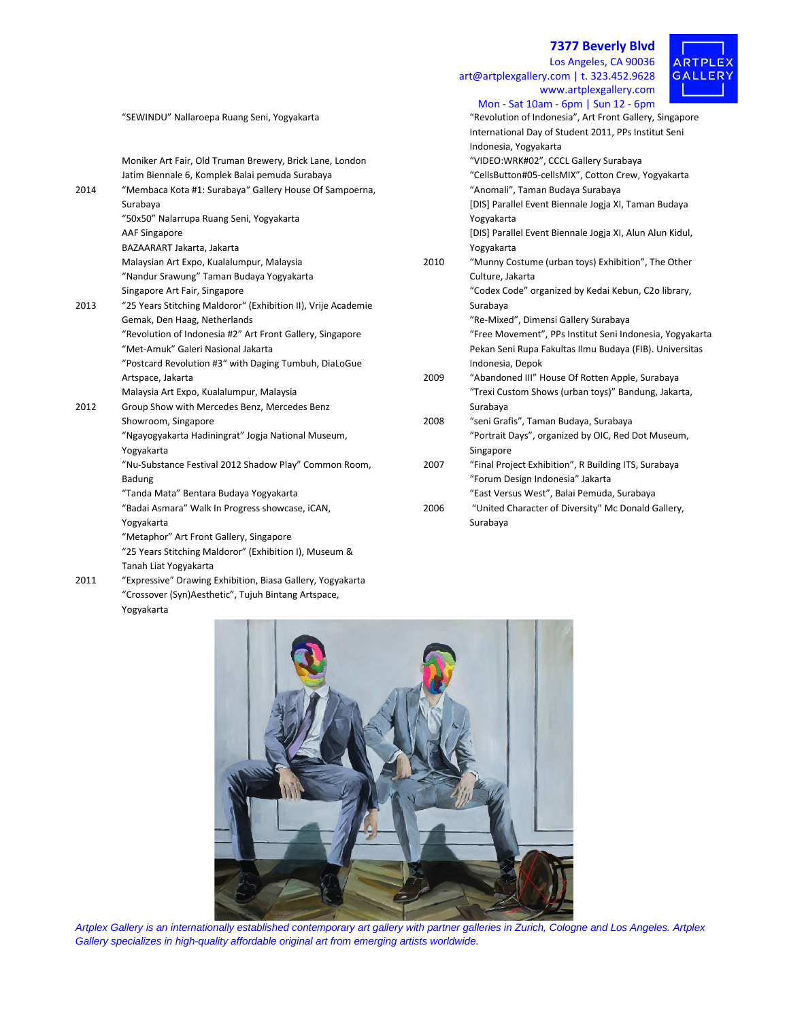**7377 Beverly Blvd** Los Angeles, CA 90036

www.artplexgallery.com

of Indonesia", Art Front Gallery, Singapore

art@artplexgallery.com | t. 323.452.9628

 $PLE$ . R T **GALLERY** 



|      |                                                               |      | Mon - Sat 10am - 6pm   Sun 12 - 6pm                     |
|------|---------------------------------------------------------------|------|---------------------------------------------------------|
|      | "SEWINDU" Nallaroepa Ruang Seni, Yogyakarta                   |      | "Revolution of Indonesia", Art Front Gallery, Singapor  |
|      |                                                               |      | International Day of Student 2011, PPs Institut Seni    |
|      |                                                               |      | Indonesia, Yogyakarta                                   |
|      | Moniker Art Fair, Old Truman Brewery, Brick Lane, London      |      | "VIDEO: WRK#02", CCCL Gallery Surabaya                  |
|      | Jatim Biennale 6, Komplek Balai pemuda Surabaya               |      | "CellsButton#05-cellsMIX", Cotton Crew, Yogyakarta      |
| 2014 | "Membaca Kota #1: Surabaya" Gallery House Of Sampoerna,       |      | "Anomali", Taman Budaya Surabaya                        |
|      | Surabaya                                                      |      | [DIS] Parallel Event Biennale Jogja XI, Taman Budaya    |
|      | "50x50" Nalarrupa Ruang Seni, Yogyakarta                      |      | Yogyakarta                                              |
|      | <b>AAF Singapore</b>                                          |      | [DIS] Parallel Event Biennale Jogja XI, Alun Alun Kidul |
|      | BAZAARART Jakarta, Jakarta                                    |      | Yogyakarta                                              |
|      | Malaysian Art Expo, Kualalumpur, Malaysia                     | 2010 | "Munny Costume (urban toys) Exhibition", The Other      |
|      | "Nandur Srawung" Taman Budaya Yogyakarta                      |      | Culture, Jakarta                                        |
|      | Singapore Art Fair, Singapore                                 |      | "Codex Code" organized by Kedai Kebun, C2o library,     |
| 2013 | "25 Years Stitching Maldoror" (Exhibition II), Vrije Academie |      | Surabaya                                                |
|      | Gemak, Den Haag, Netherlands                                  |      | "Re-Mixed", Dimensi Gallery Surabaya                    |
|      | "Revolution of Indonesia #2" Art Front Gallery, Singapore     |      | "Free Movement", PPs Institut Seni Indonesia, Yogyal    |
|      | "Met-Amuk" Galeri Nasional Jakarta                            |      | Pekan Seni Rupa Fakultas Ilmu Budaya (FIB). Universi    |
|      | "Postcard Revolution #3" with Daging Tumbuh, DiaLoGue         |      | Indonesia, Depok                                        |
|      | Artspace, Jakarta                                             | 2009 | "Abandoned III" House Of Rotten Apple, Surabaya         |
|      | Malaysia Art Expo, Kualalumpur, Malaysia                      |      | "Trexi Custom Shows (urban toys)" Bandung, Jakarta,     |
| 2012 | Group Show with Mercedes Benz, Mercedes Benz                  |      | Surabaya                                                |
|      | Showroom, Singapore                                           | 2008 | "seni Grafis", Taman Budaya, Surabaya                   |
|      | "Ngayogyakarta Hadiningrat" Jogja National Museum,            |      | "Portrait Days", organized by OIC, Red Dot Museum,      |
|      | Yogyakarta                                                    |      | Singapore                                               |
|      | "Nu-Substance Festival 2012 Shadow Play" Common Room,         | 2007 | "Final Project Exhibition", R Building ITS, Surabaya    |
|      | Badung                                                        |      | "Forum Design Indonesia" Jakarta                        |
|      | "Tanda Mata" Bentara Budaya Yogyakarta                        |      | "East Versus West", Balai Pemuda, Surabaya              |
|      | "Badai Asmara" Walk In Progress showcase, iCAN,               | 2006 | "United Character of Diversity" Mc Donald Gallery,      |
|      | Yogyakarta                                                    |      | Surabaya                                                |
|      | "Metaphor" Art Front Gallery, Singapore                       |      |                                                         |
|      | "25 Years Stitching Maldoror" (Exhibition I), Museum &        |      |                                                         |
|      | Tanah Liat Yogyakarta                                         |      |                                                         |

2011 "Expressive" Drawing Exhibition, Biasa Gallery, Yogyakarta "Crossover (Syn)Aesthetic", Tujuh Bintang Artspace, Yogyakarta

|      | [DIS] Parallel Event Biennale Jogja XI, Taman Budaya<br>Yogyakarta |
|------|--------------------------------------------------------------------|
|      | [DIS] Parallel Event Biennale Jogja XI, Alun Alun Kidul,           |
|      | Yogyakarta                                                         |
| 2010 | "Munny Costume (urban toys) Exhibition", The Other                 |
|      | Culture, Jakarta                                                   |
|      | "Codex Code" organized by Kedai Kebun, C2o library,                |
|      | Surabaya                                                           |
|      | "Re-Mixed", Dimensi Gallery Surabaya                               |
|      | "Free Movement", PPs Institut Seni Indonesia, Yogyakarta           |
|      | Pekan Seni Rupa Fakultas Ilmu Budaya (FIB). Universitas            |
|      | Indonesia, Depok                                                   |
| 2009 | "Abandoned III" House Of Rotten Apple, Surabaya                    |
|      | "Trexi Custom Shows (urban toys)" Bandung, Jakarta,                |
|      | Surabaya                                                           |
| 2008 | "seni Grafis", Taman Budaya, Surabaya                              |
|      | "Portrait Days", organized by OIC, Red Dot Museum,                 |
|      | Singapore                                                          |
| 2007 | "Final Project Exhibition", R Building ITS, Surabaya               |
|      | "Forum Design Indonesia" Jakarta                                   |
|      | "East Versus West", Balai Pemuda, Surabaya                         |
|      |                                                                    |



*Artplex Gallery is an internationally established contemporary art gallery with partner galleries in Zurich, Cologne and Los Angeles. Artplex Gallery specializes in high-quality affordable original art from emerging artists worldwide.*